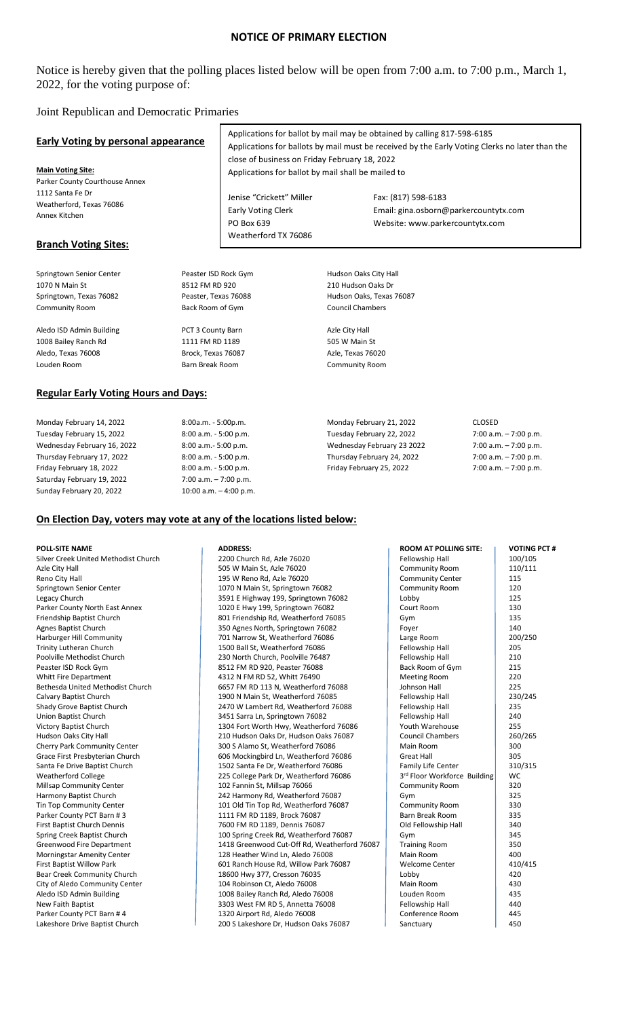# **NOTICE OF PRIMARY ELECTION**

# Notice is hereby given that the polling places listed below will be open from 7:00 a.m. to 7:00 p.m., March 1, 2022, for the voting purpose of:

### Joint Republican and Democratic Primaries

| <b>Early Voting by personal appearance</b>  |                          | Applications for ballot by mail may be obtained by calling 817-598-6185<br>Applications for ballots by mail must be received by the Early Voting Clerks no later than the<br>close of business on Friday February 18, 2022 |                                       |                          |  |  |
|---------------------------------------------|--------------------------|----------------------------------------------------------------------------------------------------------------------------------------------------------------------------------------------------------------------------|---------------------------------------|--------------------------|--|--|
| <b>Main Voting Site:</b>                    |                          | Applications for ballot by mail shall be mailed to                                                                                                                                                                         |                                       |                          |  |  |
| Parker County Courthouse Annex              |                          |                                                                                                                                                                                                                            |                                       |                          |  |  |
| 1112 Santa Fe Dr                            |                          | Jenise "Crickett" Miller                                                                                                                                                                                                   | Fax: (817) 598-6183                   |                          |  |  |
| Weatherford, Texas 76086                    |                          |                                                                                                                                                                                                                            |                                       |                          |  |  |
| Annex Kitchen                               |                          | <b>Early Voting Clerk</b>                                                                                                                                                                                                  | Email: gina.osborn@parkercountytx.com |                          |  |  |
|                                             |                          | PO Box 639                                                                                                                                                                                                                 | Website: www.parkercountytx.com       |                          |  |  |
| <b>Branch Voting Sites:</b>                 |                          | Weatherford TX 76086                                                                                                                                                                                                       |                                       |                          |  |  |
|                                             |                          |                                                                                                                                                                                                                            |                                       |                          |  |  |
| Springtown Senior Center                    | Peaster ISD Rock Gym     |                                                                                                                                                                                                                            | Hudson Oaks City Hall                 |                          |  |  |
| 1070 N Main St                              | 8512 FM RD 920           |                                                                                                                                                                                                                            | 210 Hudson Oaks Dr                    |                          |  |  |
| Springtown, Texas 76082                     | Peaster, Texas 76088     |                                                                                                                                                                                                                            | Hudson Oaks, Texas 76087              |                          |  |  |
| <b>Community Room</b>                       | Back Room of Gym         |                                                                                                                                                                                                                            | <b>Council Chambers</b>               |                          |  |  |
| Aledo ISD Admin Building                    | PCT 3 County Barn        |                                                                                                                                                                                                                            | Azle City Hall                        |                          |  |  |
| 1008 Bailey Ranch Rd                        | 1111 FM RD 1189          |                                                                                                                                                                                                                            | 505 W Main St                         |                          |  |  |
| Aledo, Texas 76008                          | Brock, Texas 76087       |                                                                                                                                                                                                                            | Azle, Texas 76020                     |                          |  |  |
| Louden Room                                 | Barn Break Room          |                                                                                                                                                                                                                            | <b>Community Room</b>                 |                          |  |  |
| <b>Regular Early Voting Hours and Days:</b> |                          |                                                                                                                                                                                                                            |                                       |                          |  |  |
| Monday February 14, 2022                    | 8:00a.m. - 5:00p.m.      |                                                                                                                                                                                                                            | Monday February 21, 2022              | <b>CLOSED</b>            |  |  |
| Tuesday February 15, 2022                   | 8:00 a.m. - 5:00 p.m.    |                                                                                                                                                                                                                            | Tuesday February 22, 2022             | 7:00 a.m. - 7:00 p.m.    |  |  |
| Wednesday February 16, 2022                 | 8:00 a.m.- 5:00 p.m.     |                                                                                                                                                                                                                            | Wednesday February 23 2022            | $7:00$ a.m. $-7:00$ p.m. |  |  |
| Thursday February 17, 2022                  | 8:00 a.m. - 5:00 p.m.    |                                                                                                                                                                                                                            | Thursday February 24, 2022            | $7:00$ a.m. $-7:00$ p.m. |  |  |
| Friday February 18, 2022                    | 8:00 a.m. - 5:00 p.m.    |                                                                                                                                                                                                                            | Friday February 25, 2022              | 7:00 a.m. $-7:00$ p.m.   |  |  |
| Saturday February 19, 2022                  | $7:00$ a.m. $-7:00$ p.m. |                                                                                                                                                                                                                            |                                       |                          |  |  |

### **On Election Day, voters may vote at any of the locations listed below:**

Sunday February 20, 2022 10:00 a.m. – 4:00 p.m.

| Fellowship Hall<br>100/105<br>2200 Church Rd, Azle 76020<br>505 W Main St, Azle 76020<br><b>Community Room</b><br>110/111<br><b>Community Center</b><br>115<br>195 W Reno Rd, Azle 76020<br>1070 N Main St, Springtown 76082<br><b>Community Room</b><br>120<br>3591 E Highway 199, Springtown 76082<br>Lobby<br>125<br>130<br>1020 E Hwy 199, Springtown 76082<br>Court Room<br>Friendship Baptist Church<br>801 Friendship Rd, Weatherford 76085<br>135<br>Gym<br>140<br><b>Agnes Baptist Church</b><br>350 Agnes North, Springtown 76082<br>Fover<br>701 Narrow St, Weatherford 76086<br>Large Room<br>200/250<br><b>Trinity Lutheran Church</b><br>Fellowship Hall<br>1500 Ball St, Weatherford 76086<br>205<br>Fellowship Hall<br>210<br>230 North Church, Poolville 76487<br>Back Room of Gym<br>215<br>Peaster ISD Rock Gym<br>8512 FM RD 920, Peaster 76088<br><b>Whitt Fire Department</b><br>4312 N FM RD 52, Whitt 76490<br><b>Meeting Room</b><br>220<br>Johnson Hall<br>225<br>6657 FM RD 113 N, Weatherford 76088<br>Calvary Baptist Church<br>1900 N Main St, Weatherford 76085<br>Fellowship Hall<br>230/245<br>Shady Grove Baptist Church<br>2470 W Lambert Rd, Weatherford 76088<br>Fellowship Hall<br>235<br>Union Baptist Church<br>Fellowship Hall<br>240<br>3451 Sarra Ln, Springtown 76082<br>Youth Warehouse<br>Victory Baptist Church<br>1304 Fort Worth Hwy, Weatherford 76086<br>255<br>Hudson Oaks City Hall<br><b>Council Chambers</b><br>260/265<br>210 Hudson Oaks Dr, Hudson Oaks 76087<br><b>Cherry Park Community Center</b><br>300 S Alamo St, Weatherford 76086<br>Main Room<br>300<br>305<br>Grace First Presbyterian Church<br>606 Mockingbird Ln, Weatherford 76086<br>Great Hall<br>Santa Fe Drive Baptist Church<br>Family Life Center<br>310/315<br>1502 Santa Fe Dr, Weatherford 76086<br><b>Weatherford College</b><br>3rd Floor Workforce Building<br>225 College Park Dr, Weatherford 76086<br>WC<br>Millsap Community Center<br>102 Fannin St, Millsap 76066<br><b>Community Room</b><br>320<br>325<br>Harmony Baptist Church<br>242 Harmony Rd, Weatherford 76087<br>Gym<br><b>Tin Top Community Center</b><br>330<br>101 Old Tin Top Rd, Weatherford 76087<br><b>Community Room</b><br>Barn Break Room<br>Parker County PCT Barn #3<br>1111 FM RD 1189, Brock 76087<br>335<br><b>First Baptist Church Dennis</b><br>7600 FM RD 1189, Dennis 76087<br>Old Fellowship Hall<br>340<br>Spring Creek Baptist Church<br>345<br>100 Spring Creek Rd, Weatherford 76087<br>Gym<br>Greenwood Fire Department<br>1418 Greenwood Cut-Off Rd, Weatherford 76087<br><b>Training Room</b><br>350<br>Morningstar Amenity Center<br>128 Heather Wind Ln, Aledo 76008<br>Main Room<br>400<br><b>First Baptist Willow Park</b><br>601 Ranch House Rd, Willow Park 76087<br><b>Welcome Center</b><br>410/415<br>Bear Creek Community Church<br>18600 Hwy 377, Cresson 76035<br>Lobby<br>420<br>City of Aledo Community Center<br>104 Robinson Ct, Aledo 76008<br>Main Room<br>430<br>Aledo ISD Admin Building<br>435<br>1008 Bailey Ranch Rd, Aledo 76008<br>Louden Room<br>New Faith Baptist<br>3303 West FM RD 5, Annetta 76008<br>Fellowship Hall<br>440<br>Parker County PCT Barn #4<br>1320 Airport Rd, Aledo 76008<br>Conference Room<br>445 | POLL-SITE NAME                       | <b>ADDRESS:</b>                       | <b>ROOM AT POLLING SITE:</b> | <b>VOTING PCT#</b> |
|----------------------------------------------------------------------------------------------------------------------------------------------------------------------------------------------------------------------------------------------------------------------------------------------------------------------------------------------------------------------------------------------------------------------------------------------------------------------------------------------------------------------------------------------------------------------------------------------------------------------------------------------------------------------------------------------------------------------------------------------------------------------------------------------------------------------------------------------------------------------------------------------------------------------------------------------------------------------------------------------------------------------------------------------------------------------------------------------------------------------------------------------------------------------------------------------------------------------------------------------------------------------------------------------------------------------------------------------------------------------------------------------------------------------------------------------------------------------------------------------------------------------------------------------------------------------------------------------------------------------------------------------------------------------------------------------------------------------------------------------------------------------------------------------------------------------------------------------------------------------------------------------------------------------------------------------------------------------------------------------------------------------------------------------------------------------------------------------------------------------------------------------------------------------------------------------------------------------------------------------------------------------------------------------------------------------------------------------------------------------------------------------------------------------------------------------------------------------------------------------------------------------------------------------------------------------------------------------------------------------------------------------------------------------------------------------------------------------------------------------------------------------------------------------------------------------------------------------------------------------------------------------------------------------------------------------------------------------------------------------------------------------------------------------------------------------------------------------------------------------------------------------------------------------------------------------------------------------------------------------------------------------------------|--------------------------------------|---------------------------------------|------------------------------|--------------------|
|                                                                                                                                                                                                                                                                                                                                                                                                                                                                                                                                                                                                                                                                                                                                                                                                                                                                                                                                                                                                                                                                                                                                                                                                                                                                                                                                                                                                                                                                                                                                                                                                                                                                                                                                                                                                                                                                                                                                                                                                                                                                                                                                                                                                                                                                                                                                                                                                                                                                                                                                                                                                                                                                                                                                                                                                                                                                                                                                                                                                                                                                                                                                                                                                                                                                                  | Silver Creek United Methodist Church |                                       |                              |                    |
|                                                                                                                                                                                                                                                                                                                                                                                                                                                                                                                                                                                                                                                                                                                                                                                                                                                                                                                                                                                                                                                                                                                                                                                                                                                                                                                                                                                                                                                                                                                                                                                                                                                                                                                                                                                                                                                                                                                                                                                                                                                                                                                                                                                                                                                                                                                                                                                                                                                                                                                                                                                                                                                                                                                                                                                                                                                                                                                                                                                                                                                                                                                                                                                                                                                                                  | Azle City Hall                       |                                       |                              |                    |
|                                                                                                                                                                                                                                                                                                                                                                                                                                                                                                                                                                                                                                                                                                                                                                                                                                                                                                                                                                                                                                                                                                                                                                                                                                                                                                                                                                                                                                                                                                                                                                                                                                                                                                                                                                                                                                                                                                                                                                                                                                                                                                                                                                                                                                                                                                                                                                                                                                                                                                                                                                                                                                                                                                                                                                                                                                                                                                                                                                                                                                                                                                                                                                                                                                                                                  | Reno City Hall                       |                                       |                              |                    |
|                                                                                                                                                                                                                                                                                                                                                                                                                                                                                                                                                                                                                                                                                                                                                                                                                                                                                                                                                                                                                                                                                                                                                                                                                                                                                                                                                                                                                                                                                                                                                                                                                                                                                                                                                                                                                                                                                                                                                                                                                                                                                                                                                                                                                                                                                                                                                                                                                                                                                                                                                                                                                                                                                                                                                                                                                                                                                                                                                                                                                                                                                                                                                                                                                                                                                  | Springtown Senior Center             |                                       |                              |                    |
|                                                                                                                                                                                                                                                                                                                                                                                                                                                                                                                                                                                                                                                                                                                                                                                                                                                                                                                                                                                                                                                                                                                                                                                                                                                                                                                                                                                                                                                                                                                                                                                                                                                                                                                                                                                                                                                                                                                                                                                                                                                                                                                                                                                                                                                                                                                                                                                                                                                                                                                                                                                                                                                                                                                                                                                                                                                                                                                                                                                                                                                                                                                                                                                                                                                                                  | Legacy Church                        |                                       |                              |                    |
|                                                                                                                                                                                                                                                                                                                                                                                                                                                                                                                                                                                                                                                                                                                                                                                                                                                                                                                                                                                                                                                                                                                                                                                                                                                                                                                                                                                                                                                                                                                                                                                                                                                                                                                                                                                                                                                                                                                                                                                                                                                                                                                                                                                                                                                                                                                                                                                                                                                                                                                                                                                                                                                                                                                                                                                                                                                                                                                                                                                                                                                                                                                                                                                                                                                                                  | Parker County North East Annex       |                                       |                              |                    |
|                                                                                                                                                                                                                                                                                                                                                                                                                                                                                                                                                                                                                                                                                                                                                                                                                                                                                                                                                                                                                                                                                                                                                                                                                                                                                                                                                                                                                                                                                                                                                                                                                                                                                                                                                                                                                                                                                                                                                                                                                                                                                                                                                                                                                                                                                                                                                                                                                                                                                                                                                                                                                                                                                                                                                                                                                                                                                                                                                                                                                                                                                                                                                                                                                                                                                  |                                      |                                       |                              |                    |
|                                                                                                                                                                                                                                                                                                                                                                                                                                                                                                                                                                                                                                                                                                                                                                                                                                                                                                                                                                                                                                                                                                                                                                                                                                                                                                                                                                                                                                                                                                                                                                                                                                                                                                                                                                                                                                                                                                                                                                                                                                                                                                                                                                                                                                                                                                                                                                                                                                                                                                                                                                                                                                                                                                                                                                                                                                                                                                                                                                                                                                                                                                                                                                                                                                                                                  |                                      |                                       |                              |                    |
|                                                                                                                                                                                                                                                                                                                                                                                                                                                                                                                                                                                                                                                                                                                                                                                                                                                                                                                                                                                                                                                                                                                                                                                                                                                                                                                                                                                                                                                                                                                                                                                                                                                                                                                                                                                                                                                                                                                                                                                                                                                                                                                                                                                                                                                                                                                                                                                                                                                                                                                                                                                                                                                                                                                                                                                                                                                                                                                                                                                                                                                                                                                                                                                                                                                                                  | <b>Harburger Hill Community</b>      |                                       |                              |                    |
|                                                                                                                                                                                                                                                                                                                                                                                                                                                                                                                                                                                                                                                                                                                                                                                                                                                                                                                                                                                                                                                                                                                                                                                                                                                                                                                                                                                                                                                                                                                                                                                                                                                                                                                                                                                                                                                                                                                                                                                                                                                                                                                                                                                                                                                                                                                                                                                                                                                                                                                                                                                                                                                                                                                                                                                                                                                                                                                                                                                                                                                                                                                                                                                                                                                                                  |                                      |                                       |                              |                    |
|                                                                                                                                                                                                                                                                                                                                                                                                                                                                                                                                                                                                                                                                                                                                                                                                                                                                                                                                                                                                                                                                                                                                                                                                                                                                                                                                                                                                                                                                                                                                                                                                                                                                                                                                                                                                                                                                                                                                                                                                                                                                                                                                                                                                                                                                                                                                                                                                                                                                                                                                                                                                                                                                                                                                                                                                                                                                                                                                                                                                                                                                                                                                                                                                                                                                                  | Poolville Methodist Church           |                                       |                              |                    |
|                                                                                                                                                                                                                                                                                                                                                                                                                                                                                                                                                                                                                                                                                                                                                                                                                                                                                                                                                                                                                                                                                                                                                                                                                                                                                                                                                                                                                                                                                                                                                                                                                                                                                                                                                                                                                                                                                                                                                                                                                                                                                                                                                                                                                                                                                                                                                                                                                                                                                                                                                                                                                                                                                                                                                                                                                                                                                                                                                                                                                                                                                                                                                                                                                                                                                  |                                      |                                       |                              |                    |
|                                                                                                                                                                                                                                                                                                                                                                                                                                                                                                                                                                                                                                                                                                                                                                                                                                                                                                                                                                                                                                                                                                                                                                                                                                                                                                                                                                                                                                                                                                                                                                                                                                                                                                                                                                                                                                                                                                                                                                                                                                                                                                                                                                                                                                                                                                                                                                                                                                                                                                                                                                                                                                                                                                                                                                                                                                                                                                                                                                                                                                                                                                                                                                                                                                                                                  |                                      |                                       |                              |                    |
|                                                                                                                                                                                                                                                                                                                                                                                                                                                                                                                                                                                                                                                                                                                                                                                                                                                                                                                                                                                                                                                                                                                                                                                                                                                                                                                                                                                                                                                                                                                                                                                                                                                                                                                                                                                                                                                                                                                                                                                                                                                                                                                                                                                                                                                                                                                                                                                                                                                                                                                                                                                                                                                                                                                                                                                                                                                                                                                                                                                                                                                                                                                                                                                                                                                                                  | Bethesda United Methodist Church     |                                       |                              |                    |
|                                                                                                                                                                                                                                                                                                                                                                                                                                                                                                                                                                                                                                                                                                                                                                                                                                                                                                                                                                                                                                                                                                                                                                                                                                                                                                                                                                                                                                                                                                                                                                                                                                                                                                                                                                                                                                                                                                                                                                                                                                                                                                                                                                                                                                                                                                                                                                                                                                                                                                                                                                                                                                                                                                                                                                                                                                                                                                                                                                                                                                                                                                                                                                                                                                                                                  |                                      |                                       |                              |                    |
|                                                                                                                                                                                                                                                                                                                                                                                                                                                                                                                                                                                                                                                                                                                                                                                                                                                                                                                                                                                                                                                                                                                                                                                                                                                                                                                                                                                                                                                                                                                                                                                                                                                                                                                                                                                                                                                                                                                                                                                                                                                                                                                                                                                                                                                                                                                                                                                                                                                                                                                                                                                                                                                                                                                                                                                                                                                                                                                                                                                                                                                                                                                                                                                                                                                                                  |                                      |                                       |                              |                    |
|                                                                                                                                                                                                                                                                                                                                                                                                                                                                                                                                                                                                                                                                                                                                                                                                                                                                                                                                                                                                                                                                                                                                                                                                                                                                                                                                                                                                                                                                                                                                                                                                                                                                                                                                                                                                                                                                                                                                                                                                                                                                                                                                                                                                                                                                                                                                                                                                                                                                                                                                                                                                                                                                                                                                                                                                                                                                                                                                                                                                                                                                                                                                                                                                                                                                                  |                                      |                                       |                              |                    |
|                                                                                                                                                                                                                                                                                                                                                                                                                                                                                                                                                                                                                                                                                                                                                                                                                                                                                                                                                                                                                                                                                                                                                                                                                                                                                                                                                                                                                                                                                                                                                                                                                                                                                                                                                                                                                                                                                                                                                                                                                                                                                                                                                                                                                                                                                                                                                                                                                                                                                                                                                                                                                                                                                                                                                                                                                                                                                                                                                                                                                                                                                                                                                                                                                                                                                  |                                      |                                       |                              |                    |
|                                                                                                                                                                                                                                                                                                                                                                                                                                                                                                                                                                                                                                                                                                                                                                                                                                                                                                                                                                                                                                                                                                                                                                                                                                                                                                                                                                                                                                                                                                                                                                                                                                                                                                                                                                                                                                                                                                                                                                                                                                                                                                                                                                                                                                                                                                                                                                                                                                                                                                                                                                                                                                                                                                                                                                                                                                                                                                                                                                                                                                                                                                                                                                                                                                                                                  |                                      |                                       |                              |                    |
|                                                                                                                                                                                                                                                                                                                                                                                                                                                                                                                                                                                                                                                                                                                                                                                                                                                                                                                                                                                                                                                                                                                                                                                                                                                                                                                                                                                                                                                                                                                                                                                                                                                                                                                                                                                                                                                                                                                                                                                                                                                                                                                                                                                                                                                                                                                                                                                                                                                                                                                                                                                                                                                                                                                                                                                                                                                                                                                                                                                                                                                                                                                                                                                                                                                                                  |                                      |                                       |                              |                    |
|                                                                                                                                                                                                                                                                                                                                                                                                                                                                                                                                                                                                                                                                                                                                                                                                                                                                                                                                                                                                                                                                                                                                                                                                                                                                                                                                                                                                                                                                                                                                                                                                                                                                                                                                                                                                                                                                                                                                                                                                                                                                                                                                                                                                                                                                                                                                                                                                                                                                                                                                                                                                                                                                                                                                                                                                                                                                                                                                                                                                                                                                                                                                                                                                                                                                                  |                                      |                                       |                              |                    |
|                                                                                                                                                                                                                                                                                                                                                                                                                                                                                                                                                                                                                                                                                                                                                                                                                                                                                                                                                                                                                                                                                                                                                                                                                                                                                                                                                                                                                                                                                                                                                                                                                                                                                                                                                                                                                                                                                                                                                                                                                                                                                                                                                                                                                                                                                                                                                                                                                                                                                                                                                                                                                                                                                                                                                                                                                                                                                                                                                                                                                                                                                                                                                                                                                                                                                  |                                      |                                       |                              |                    |
|                                                                                                                                                                                                                                                                                                                                                                                                                                                                                                                                                                                                                                                                                                                                                                                                                                                                                                                                                                                                                                                                                                                                                                                                                                                                                                                                                                                                                                                                                                                                                                                                                                                                                                                                                                                                                                                                                                                                                                                                                                                                                                                                                                                                                                                                                                                                                                                                                                                                                                                                                                                                                                                                                                                                                                                                                                                                                                                                                                                                                                                                                                                                                                                                                                                                                  |                                      |                                       |                              |                    |
|                                                                                                                                                                                                                                                                                                                                                                                                                                                                                                                                                                                                                                                                                                                                                                                                                                                                                                                                                                                                                                                                                                                                                                                                                                                                                                                                                                                                                                                                                                                                                                                                                                                                                                                                                                                                                                                                                                                                                                                                                                                                                                                                                                                                                                                                                                                                                                                                                                                                                                                                                                                                                                                                                                                                                                                                                                                                                                                                                                                                                                                                                                                                                                                                                                                                                  |                                      |                                       |                              |                    |
|                                                                                                                                                                                                                                                                                                                                                                                                                                                                                                                                                                                                                                                                                                                                                                                                                                                                                                                                                                                                                                                                                                                                                                                                                                                                                                                                                                                                                                                                                                                                                                                                                                                                                                                                                                                                                                                                                                                                                                                                                                                                                                                                                                                                                                                                                                                                                                                                                                                                                                                                                                                                                                                                                                                                                                                                                                                                                                                                                                                                                                                                                                                                                                                                                                                                                  |                                      |                                       |                              |                    |
|                                                                                                                                                                                                                                                                                                                                                                                                                                                                                                                                                                                                                                                                                                                                                                                                                                                                                                                                                                                                                                                                                                                                                                                                                                                                                                                                                                                                                                                                                                                                                                                                                                                                                                                                                                                                                                                                                                                                                                                                                                                                                                                                                                                                                                                                                                                                                                                                                                                                                                                                                                                                                                                                                                                                                                                                                                                                                                                                                                                                                                                                                                                                                                                                                                                                                  |                                      |                                       |                              |                    |
|                                                                                                                                                                                                                                                                                                                                                                                                                                                                                                                                                                                                                                                                                                                                                                                                                                                                                                                                                                                                                                                                                                                                                                                                                                                                                                                                                                                                                                                                                                                                                                                                                                                                                                                                                                                                                                                                                                                                                                                                                                                                                                                                                                                                                                                                                                                                                                                                                                                                                                                                                                                                                                                                                                                                                                                                                                                                                                                                                                                                                                                                                                                                                                                                                                                                                  |                                      |                                       |                              |                    |
|                                                                                                                                                                                                                                                                                                                                                                                                                                                                                                                                                                                                                                                                                                                                                                                                                                                                                                                                                                                                                                                                                                                                                                                                                                                                                                                                                                                                                                                                                                                                                                                                                                                                                                                                                                                                                                                                                                                                                                                                                                                                                                                                                                                                                                                                                                                                                                                                                                                                                                                                                                                                                                                                                                                                                                                                                                                                                                                                                                                                                                                                                                                                                                                                                                                                                  |                                      |                                       |                              |                    |
|                                                                                                                                                                                                                                                                                                                                                                                                                                                                                                                                                                                                                                                                                                                                                                                                                                                                                                                                                                                                                                                                                                                                                                                                                                                                                                                                                                                                                                                                                                                                                                                                                                                                                                                                                                                                                                                                                                                                                                                                                                                                                                                                                                                                                                                                                                                                                                                                                                                                                                                                                                                                                                                                                                                                                                                                                                                                                                                                                                                                                                                                                                                                                                                                                                                                                  |                                      |                                       |                              |                    |
|                                                                                                                                                                                                                                                                                                                                                                                                                                                                                                                                                                                                                                                                                                                                                                                                                                                                                                                                                                                                                                                                                                                                                                                                                                                                                                                                                                                                                                                                                                                                                                                                                                                                                                                                                                                                                                                                                                                                                                                                                                                                                                                                                                                                                                                                                                                                                                                                                                                                                                                                                                                                                                                                                                                                                                                                                                                                                                                                                                                                                                                                                                                                                                                                                                                                                  |                                      |                                       |                              |                    |
|                                                                                                                                                                                                                                                                                                                                                                                                                                                                                                                                                                                                                                                                                                                                                                                                                                                                                                                                                                                                                                                                                                                                                                                                                                                                                                                                                                                                                                                                                                                                                                                                                                                                                                                                                                                                                                                                                                                                                                                                                                                                                                                                                                                                                                                                                                                                                                                                                                                                                                                                                                                                                                                                                                                                                                                                                                                                                                                                                                                                                                                                                                                                                                                                                                                                                  |                                      |                                       |                              |                    |
|                                                                                                                                                                                                                                                                                                                                                                                                                                                                                                                                                                                                                                                                                                                                                                                                                                                                                                                                                                                                                                                                                                                                                                                                                                                                                                                                                                                                                                                                                                                                                                                                                                                                                                                                                                                                                                                                                                                                                                                                                                                                                                                                                                                                                                                                                                                                                                                                                                                                                                                                                                                                                                                                                                                                                                                                                                                                                                                                                                                                                                                                                                                                                                                                                                                                                  |                                      |                                       |                              |                    |
|                                                                                                                                                                                                                                                                                                                                                                                                                                                                                                                                                                                                                                                                                                                                                                                                                                                                                                                                                                                                                                                                                                                                                                                                                                                                                                                                                                                                                                                                                                                                                                                                                                                                                                                                                                                                                                                                                                                                                                                                                                                                                                                                                                                                                                                                                                                                                                                                                                                                                                                                                                                                                                                                                                                                                                                                                                                                                                                                                                                                                                                                                                                                                                                                                                                                                  |                                      |                                       |                              |                    |
|                                                                                                                                                                                                                                                                                                                                                                                                                                                                                                                                                                                                                                                                                                                                                                                                                                                                                                                                                                                                                                                                                                                                                                                                                                                                                                                                                                                                                                                                                                                                                                                                                                                                                                                                                                                                                                                                                                                                                                                                                                                                                                                                                                                                                                                                                                                                                                                                                                                                                                                                                                                                                                                                                                                                                                                                                                                                                                                                                                                                                                                                                                                                                                                                                                                                                  |                                      |                                       |                              |                    |
|                                                                                                                                                                                                                                                                                                                                                                                                                                                                                                                                                                                                                                                                                                                                                                                                                                                                                                                                                                                                                                                                                                                                                                                                                                                                                                                                                                                                                                                                                                                                                                                                                                                                                                                                                                                                                                                                                                                                                                                                                                                                                                                                                                                                                                                                                                                                                                                                                                                                                                                                                                                                                                                                                                                                                                                                                                                                                                                                                                                                                                                                                                                                                                                                                                                                                  |                                      |                                       |                              |                    |
|                                                                                                                                                                                                                                                                                                                                                                                                                                                                                                                                                                                                                                                                                                                                                                                                                                                                                                                                                                                                                                                                                                                                                                                                                                                                                                                                                                                                                                                                                                                                                                                                                                                                                                                                                                                                                                                                                                                                                                                                                                                                                                                                                                                                                                                                                                                                                                                                                                                                                                                                                                                                                                                                                                                                                                                                                                                                                                                                                                                                                                                                                                                                                                                                                                                                                  |                                      |                                       |                              |                    |
|                                                                                                                                                                                                                                                                                                                                                                                                                                                                                                                                                                                                                                                                                                                                                                                                                                                                                                                                                                                                                                                                                                                                                                                                                                                                                                                                                                                                                                                                                                                                                                                                                                                                                                                                                                                                                                                                                                                                                                                                                                                                                                                                                                                                                                                                                                                                                                                                                                                                                                                                                                                                                                                                                                                                                                                                                                                                                                                                                                                                                                                                                                                                                                                                                                                                                  |                                      |                                       |                              |                    |
|                                                                                                                                                                                                                                                                                                                                                                                                                                                                                                                                                                                                                                                                                                                                                                                                                                                                                                                                                                                                                                                                                                                                                                                                                                                                                                                                                                                                                                                                                                                                                                                                                                                                                                                                                                                                                                                                                                                                                                                                                                                                                                                                                                                                                                                                                                                                                                                                                                                                                                                                                                                                                                                                                                                                                                                                                                                                                                                                                                                                                                                                                                                                                                                                                                                                                  | Lakeshore Drive Baptist Church       | 200 S Lakeshore Dr, Hudson Oaks 76087 | Sanctuary                    | 450                |